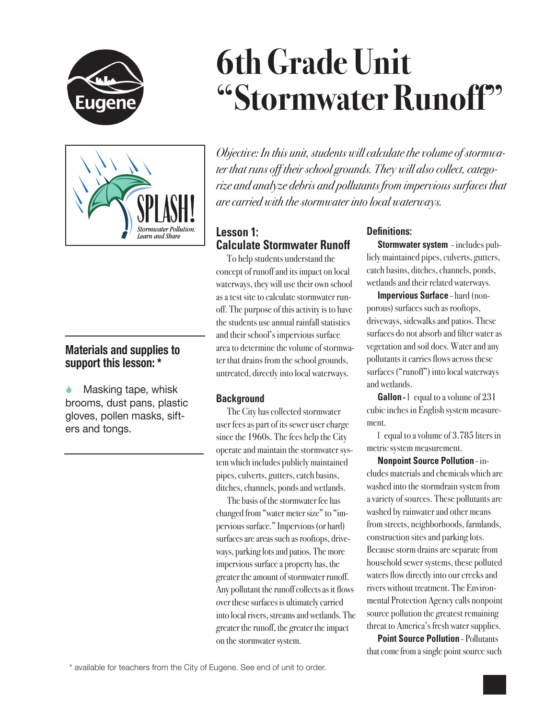

# **6th Grade Unit "Stormwater Runoff"**



## **Materials and supplies to support this lesson: \***

 Masking tape, whisk brooms, dust pans, plastic gloves, pollen masks, sifters and tongs.

*Objective: In this unit, students will calculate the volume of stormwater that runs off their school grounds. They will also collect, categorize and analyze debris and pollutants from impervious surfaces that are carried with the stormwater into local waterways.*

## **Lesson 1: Calculate Stormwater Runoff**

To help students understand the concept of runoff and its impact on local waterways, they will use their own school as a test site to calculate stormwater runoff. The purpose of this activity is to have the students use annual rainfall statistics and their school's impervious surface area to determine the volume of stormwater that drains from the school grounds, untreated, directly into local waterways.

## **Background**

The City has collected stormwater user fees as part of its sewer user charge since the 1960s. The fees help the City operate and maintain the stormwater system which includes publicly maintained pipes, culverts, gutters, catch basins, ditches, channels, ponds and wetlands.

The basis of the stormwater fee has changed from "water meter size" to "impervious surface." Impervious (or hard) surfaces are areas such as rooftops, driveways, parking lots and patios. The more impervious surface a property has, the greater the amount of stormwater runoff. Any pollutant the runoff collects as it flows over these surfaces is ultimately carried into local rivers, streams and wetlands. The greater the runoff, the greater the impact on the stormwater system.

### **Definitions:**

**Stormwater system** - includes publicly maintained pipes, culverts, gutters, catch basins, ditches, channels, ponds, wetlands and their related waterways.

**Impervious Surface** - hard (nonporous) surfaces such as rooftops, driveways, sidewalks and patios. These surfaces do not absorb and filter water as vegetation and soil does. Water and any pollutants it carries flows across these surfaces ("runoff") into local waterways and wetlands.

**Gallon** - l equal to a volume of 231 cubic inches in English system measurement.

l equal to a volume of 3.785 liters in metric system measurement.

**Nonpoint Source Pollution** - includes materials and chemicals which are washed into the stormdrain system from a variety of sources. These pollutants are washed by rainwater and other means from streets, neighborhoods, farmlands, construction sites and parking lots. Because storm drains are separate from household sewer systems, these polluted waters flow directly into our creeks and rivers without treatment. The Environmental Protection Agency calls nonpoint source pollution the greatest remaining threat to America's fresh water supplies.

**Point Source Pollution - Pollutants** that come from a single point source such

\* available for teachers from the City of Eugene. See end of unit to order.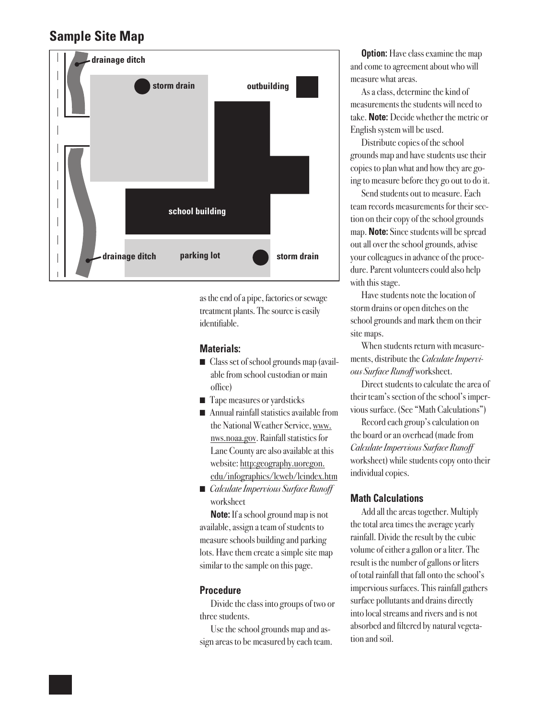# **Sample Site Map**



as the end of a pipe, factories or sewage treatment plants. The source is easily identifiable.

### **Materials:**

- Class set of school grounds map (available from school custodian or main office)
- Tape measures or yardsticks
- $\blacksquare$  Annual rainfall statistics available from the National Weather Service, www. nws.noaa.gov. Rainfall statistics for Lane County are also available at this website: http:geography.uoregon. edu/infographics/lcweb/lcindex.htm
- *Calculate Impervious Surface Runoff* worksheet

**Note:** If a school ground map is not available, assign a team of students to measure schools building and parking lots. Have them create a simple site map similar to the sample on this page.

#### **Procedure**

Divide the class into groups of two or three students.

Use the school grounds map and assign areas to be measured by each team.

**Option:** Have class examine the map and come to agreement about who will measure what areas.

As a class, determine the kind of measurements the students will need to take. **Note:** Decide whether the metric or English system will be used.

Distribute copies of the school grounds map and have students use their copies to plan what and how they are going to measure before they go out to do it.

Send students out to measure. Each team records measurements for their section on their copy of the school grounds map. **Note:** Since students will be spread out all over the school grounds, advise your colleagues in advance of the procedure. Parent volunteers could also help with this stage.

Have students note the location of storm drains or open ditches on the school grounds and mark them on their site maps.

When students return with measurements, distribute the *Calculate Impervious Surface Runoff* worksheet.

Direct students to calculate the area of their team's section of the school's impervious surface. (See "Math Calculations")

Record each group's calculation on the board or an overhead (made from *Calculate Impervious Surface Runoff* worksheet) while students copy onto their individual copies.

#### **Math Calculations**

Add all the areas together. Multiply the total area times the average yearly rainfall. Divide the result by the cubic volume of either a gallon or a liter. The result is the number of gallons or liters of total rainfall that fall onto the school's impervious surfaces. This rainfall gathers surface pollutants and drains directly into local streams and rivers and is not absorbed and filtered by natural vegetation and soil.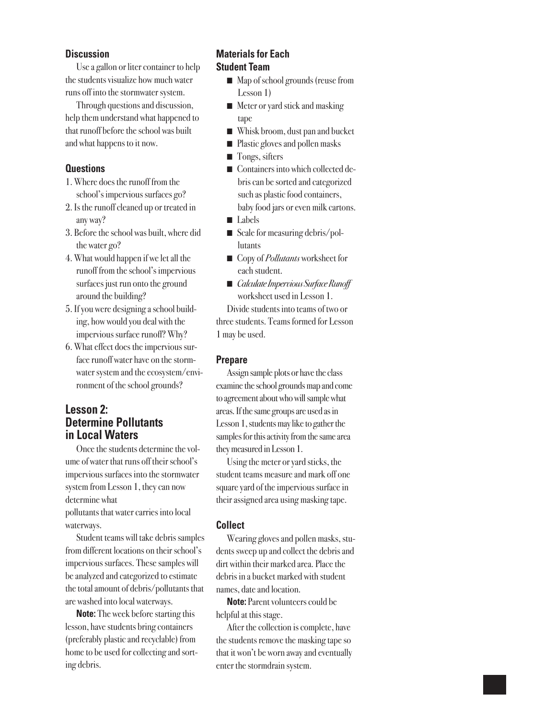#### **Discussion**

Use a gallon or liter container to help the students visualize how much water runs off into the stormwater system.

Through questions and discussion, help them understand what happened to that runoff before the school was built and what happens to it now.

#### **Questions**

- 1. Where does the runoff from the school's impervious surfaces go?
- 2. Is the runoff cleaned up or treated in any way?
- 3. Before the school was built, where did the water go?
- 4. What would happen if we let all the runoff from the school's impervious surfaces just run onto the ground around the building?
- 5. If you were designing a school building, how would you deal with the impervious surface runoff? Why?
- 6. What effect does the impervious surface runoff water have on the stormwater system and the ecosystem/environment of the school grounds?

### **Lesson 2: Determine Pollutants in Local Waters**

Once the students determine the volume of water that runs off their school's impervious surfaces into the stormwater system from Lesson 1, they can now determine what pollutants that water carries into local

waterways. Student teams will take debris samples from different locations on their school's impervious surfaces. These samples will be analyzed and categorized to estimate the total amount of debris/pollutants that are washed into local waterways.

**Note:** The week before starting this lesson, have students bring containers (preferably plastic and recyclable) from home to be used for collecting and sorting debris.

#### **Materials for Each Student Team**

- Map of school grounds (reuse from Lesson 1)
- $\blacksquare$  Meter or yard stick and masking tape
- Whisk broom, dust pan and bucket
- $\blacksquare$  Plastic gloves and pollen masks
- $\blacksquare$  Tongs, sifters
- Containers into which collected debris can be sorted and categorized such as plastic food containers, baby food jars or even milk cartons.
- Labels
- Scale for measuring debris/pollutants
- Copy of *Pollutants* worksheet for each student.
- *Calculate Impervious Surface Runoff* worksheet used in Lesson 1.

Divide students into teams of two or three students. Teams formed for Lesson 1 may be used.

#### **Prepare**

Assign sample plots or have the class examine the school grounds map and come to agreement about who will sample what areas. If the same groups are used as in Lesson 1, students may like to gather the samples for this activity from the same area they measured in Lesson 1.

Using the meter or yard sticks, the student teams measure and mark off one square yard of the impervious surface in their assigned area using masking tape.

#### **Collect**

Wearing gloves and pollen masks, students sweep up and collect the debris and dirt within their marked area. Place the debris in a bucket marked with student names, date and location.

**Note:** Parent volunteers could be helpful at this stage.

After the collection is complete, have the students remove the masking tape so that it won't be worn away and eventually enter the stormdrain system.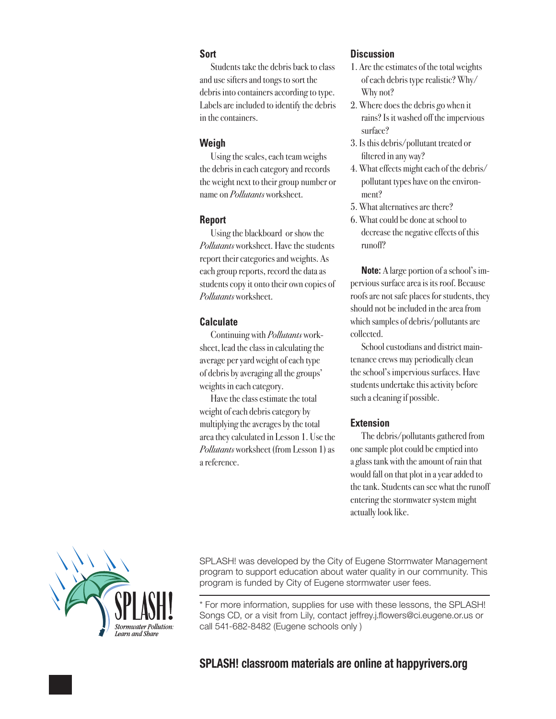#### **Sort**

Students take the debris back to class and use sifters and tongs to sort the debris into containers according to type. Labels are included to identify the debris in the containers.

#### **Weigh**

Using the scales, each team weighs the debris in each category and records the weight next to their group number or name on *Pollutants* worksheet.

#### **Report**

Using the blackboard or show the *Pollutants* worksheet. Have the students report their categories and weights. As each group reports, record the data as students copy it onto their own copies of *Pollutants* worksheet.

#### **Calculate**

Continuing with *Pollutants* worksheet, lead the class in calculating the average per yard weight of each type of debris by averaging all the groups' weights in each category.

Have the class estimate the total weight of each debris category by multiplying the averages by the total area they calculated in Lesson 1. Use the *Pollutants* worksheet (from Lesson 1) as a reference.

#### **Discussion**

- 1. Are the estimates of the total weights of each debris type realistic? Why/ Why not?
- 2. Where does the debris go when it rains? Is it washed off the impervious surface?
- 3. Is this debris/pollutant treated or filtered in any way?
- 4. What effects might each of the debris/ pollutant types have on the environment?
- 5. What alternatives are there?
- 6. What could be done at school to decrease the negative effects of this runoff?

**Note:** A large portion of a school's impervious surface area is its roof. Because roofs are not safe places for students, they should not be included in the area from which samples of debris/pollutants are collected.

School custodians and district maintenance crews may periodically clean the school's impervious surfaces. Have students undertake this activity before such a cleaning if possible.

#### **Extension**

The debris/pollutants gathered from one sample plot could be emptied into a glass tank with the amount of rain that would fall on that plot in a year added to the tank. Students can see what the runoff entering the stormwater system might actually look like.



SPLASH! was developed by the City of Eugene Stormwater Management program to support education about water quality in our community. This program is funded by City of Eugene stormwater user fees.

\* For more information, supplies for use with these lessons, the SPLASH! Songs CD, or a visit from Lily, contact jeffrey.j.flowers@ci.eugene.or.us or call 541-682-8482 (Eugene schools only )

## **SPLASH! classroom materials are online at happyrivers.org**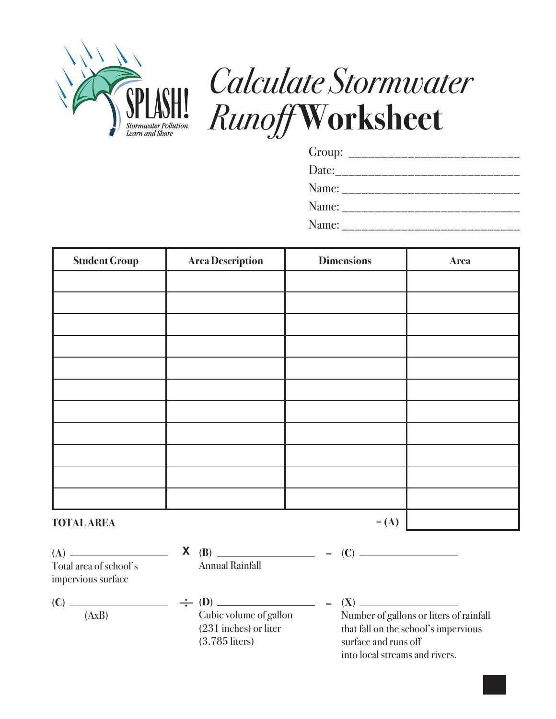

# *Calculate Stormwater Runoff* **Worksheet**

| Group: ______________________________     |
|-------------------------------------------|
| Date:_______________________              |
| Name: _______________________             |
|                                           |
| Name: ___________________________________ |

| <b>Student Group</b> | Area Description | <b>Dimensions</b> | <b>Area</b> |
|----------------------|------------------|-------------------|-------------|
|                      |                  |                   |             |
|                      |                  |                   |             |
|                      |                  |                   |             |
|                      |                  |                   |             |
|                      |                  |                   |             |
|                      |                  |                   |             |
|                      |                  |                   |             |
|                      |                  |                   |             |
|                      |                  |                   |             |
|                      |                  |                   |             |
|                      |                  |                   |             |
| <b>TOTAL AREA</b>    |                  | $=$ (A)           |             |

| Total area of school's<br>impervious surface | X | <b>Annual Rainfall</b>                                                | $=$ |                                                                                                         |
|----------------------------------------------|---|-----------------------------------------------------------------------|-----|---------------------------------------------------------------------------------------------------------|
| (AxB)                                        |   | Cubic volume of gallon<br>$(231$ inches) or liter<br>$(3.785$ liters) |     | Number of gallons or liters of rainfall<br>that fall on the school's impervious<br>surface and runs off |

into local streams and rivers.